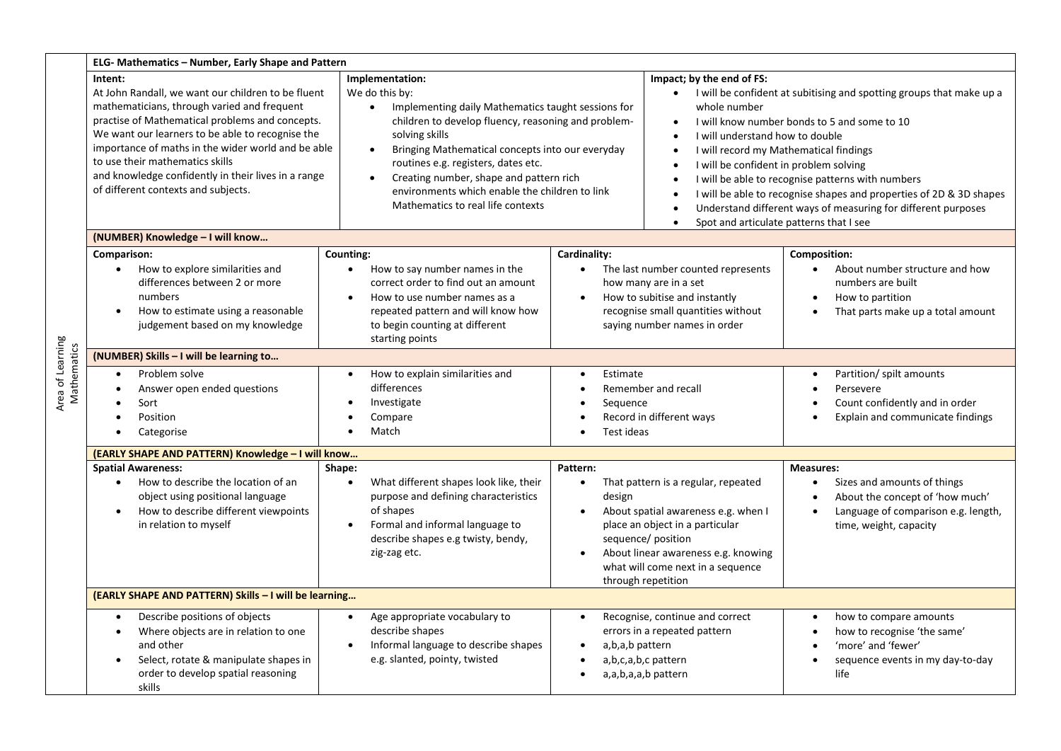|             | ELG- Mathematics - Number, Early Shape and Pattern                                                                                                                                                                                                                                                                                                                                                         |                                                                                                                                                                                                                                                                                                                                                                                                                                      |                                                                                                                                                                                                                                                                                       |                                                                                                                                                                                                                                                                                                                                                                                                                                                                                       |  |  |  |  |
|-------------|------------------------------------------------------------------------------------------------------------------------------------------------------------------------------------------------------------------------------------------------------------------------------------------------------------------------------------------------------------------------------------------------------------|--------------------------------------------------------------------------------------------------------------------------------------------------------------------------------------------------------------------------------------------------------------------------------------------------------------------------------------------------------------------------------------------------------------------------------------|---------------------------------------------------------------------------------------------------------------------------------------------------------------------------------------------------------------------------------------------------------------------------------------|---------------------------------------------------------------------------------------------------------------------------------------------------------------------------------------------------------------------------------------------------------------------------------------------------------------------------------------------------------------------------------------------------------------------------------------------------------------------------------------|--|--|--|--|
|             | Intent:<br>At John Randall, we want our children to be fluent<br>mathematicians, through varied and frequent<br>practise of Mathematical problems and concepts.<br>We want our learners to be able to recognise the<br>importance of maths in the wider world and be able<br>to use their mathematics skills<br>and knowledge confidently in their lives in a range<br>of different contexts and subjects. | Implementation:<br>We do this by:<br>Implementing daily Mathematics taught sessions for<br>$\bullet$<br>children to develop fluency, reasoning and problem-<br>solving skills<br>Bringing Mathematical concepts into our everyday<br>$\bullet$<br>routines e.g. registers, dates etc.<br>Creating number, shape and pattern rich<br>$\bullet$<br>environments which enable the children to link<br>Mathematics to real life contexts | Impact; by the end of FS:<br>whole number<br>$\bullet$<br>$\bullet$                                                                                                                                                                                                                   | • I will be confident at subitising and spotting groups that make up a<br>I will know number bonds to 5 and some to 10<br>I will understand how to double<br>I will record my Mathematical findings<br>I will be confident in problem solving<br>I will be able to recognise patterns with numbers<br>I will be able to recognise shapes and properties of 2D & 3D shapes<br>Understand different ways of measuring for different purposes<br>Spot and articulate patterns that I see |  |  |  |  |
|             | (NUMBER) Knowledge - I will know                                                                                                                                                                                                                                                                                                                                                                           |                                                                                                                                                                                                                                                                                                                                                                                                                                      |                                                                                                                                                                                                                                                                                       |                                                                                                                                                                                                                                                                                                                                                                                                                                                                                       |  |  |  |  |
|             | Comparison:<br>How to explore similarities and<br>differences between 2 or more<br>numbers<br>How to estimate using a reasonable<br>judgement based on my knowledge                                                                                                                                                                                                                                        | Counting:<br>How to say number names in the<br>$\bullet$<br>correct order to find out an amount<br>How to use number names as a<br>$\bullet$<br>repeated pattern and will know how<br>to begin counting at different<br>starting points                                                                                                                                                                                              | Cardinality:<br>The last number counted represents<br>$\bullet$<br>how many are in a set<br>How to subitise and instantly<br>$\bullet$<br>recognise small quantities without<br>saying number names in order                                                                          | <b>Composition:</b><br>About number structure and how<br>numbers are built<br>How to partition<br>$\bullet$<br>That parts make up a total amount                                                                                                                                                                                                                                                                                                                                      |  |  |  |  |
|             | (NUMBER) Skills - I will be learning to                                                                                                                                                                                                                                                                                                                                                                    |                                                                                                                                                                                                                                                                                                                                                                                                                                      |                                                                                                                                                                                                                                                                                       |                                                                                                                                                                                                                                                                                                                                                                                                                                                                                       |  |  |  |  |
| Mathematics | Problem solve<br>Answer open ended questions<br>Sort<br>Position<br>Categorise                                                                                                                                                                                                                                                                                                                             | How to explain similarities and<br>$\bullet$<br>differences<br>Investigate<br>Compare<br>Match                                                                                                                                                                                                                                                                                                                                       | Estimate<br>$\bullet$<br>Remember and recall<br>Sequence<br>Record in different ways<br>Test ideas                                                                                                                                                                                    | Partition/ spilt amounts<br>Persevere<br>Count confidently and in order<br>$\bullet$<br>Explain and communicate findings                                                                                                                                                                                                                                                                                                                                                              |  |  |  |  |
|             | (EARLY SHAPE AND PATTERN) Knowledge - I will know                                                                                                                                                                                                                                                                                                                                                          |                                                                                                                                                                                                                                                                                                                                                                                                                                      |                                                                                                                                                                                                                                                                                       |                                                                                                                                                                                                                                                                                                                                                                                                                                                                                       |  |  |  |  |
|             | <b>Spatial Awareness:</b><br>How to describe the location of an<br>object using positional language<br>How to describe different viewpoints<br>in relation to myself                                                                                                                                                                                                                                       | Shape:<br>What different shapes look like, their<br>$\bullet$<br>purpose and defining characteristics<br>of shapes<br>Formal and informal language to<br>$\bullet$<br>describe shapes e.g twisty, bendy,<br>zig-zag etc.                                                                                                                                                                                                             | Pattern:<br>That pattern is a regular, repeated<br>design<br>About spatial awareness e.g. when I<br>$\bullet$<br>place an object in a particular<br>sequence/ position<br>About linear awareness e.g. knowing<br>$\bullet$<br>what will come next in a sequence<br>through repetition | <b>Measures:</b><br>Sizes and amounts of things<br>About the concept of 'how much'<br>$\bullet$<br>Language of comparison e.g. length,<br>$\bullet$<br>time, weight, capacity                                                                                                                                                                                                                                                                                                         |  |  |  |  |
|             | (EARLY SHAPE AND PATTERN) Skills - I will be learning                                                                                                                                                                                                                                                                                                                                                      |                                                                                                                                                                                                                                                                                                                                                                                                                                      |                                                                                                                                                                                                                                                                                       |                                                                                                                                                                                                                                                                                                                                                                                                                                                                                       |  |  |  |  |
|             | Describe positions of objects<br>$\bullet$<br>Where objects are in relation to one<br>and other<br>Select, rotate & manipulate shapes in<br>order to develop spatial reasoning<br>skills                                                                                                                                                                                                                   | Age appropriate vocabulary to<br>$\bullet$<br>describe shapes<br>Informal language to describe shapes<br>e.g. slanted, pointy, twisted                                                                                                                                                                                                                                                                                               | Recognise, continue and correct<br>$\bullet$<br>errors in a repeated pattern<br>a,b,a,b pattern<br>a,b,c,a,b,c pattern<br>a,a,b,a,a,b pattern<br>$\bullet$                                                                                                                            | how to compare amounts<br>$\bullet$<br>how to recognise 'the same'<br>$\bullet$<br>'more' and 'fewer'<br>sequence events in my day-to-day<br>$\bullet$<br>life                                                                                                                                                                                                                                                                                                                        |  |  |  |  |

Area of Learning

Area of Learning